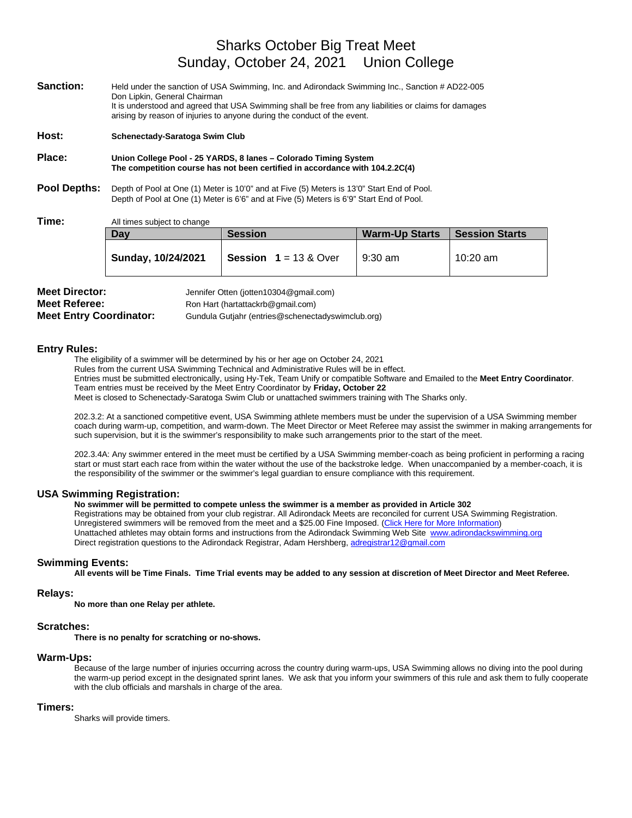# Sharks October Big Treat Meet Sunday, October 24, 2021 Union College

| Sanction:           | Held under the sanction of USA Swimming, Inc. and Adirondack Swimming Inc., Sanction # AD22-005                                                                                        |                                                                                                                                                                                    |                       |                       |  |
|---------------------|----------------------------------------------------------------------------------------------------------------------------------------------------------------------------------------|------------------------------------------------------------------------------------------------------------------------------------------------------------------------------------|-----------------------|-----------------------|--|
|                     | Don Lipkin, General Chairman                                                                                                                                                           | It is understood and agreed that USA Swimming shall be free from any liabilities or claims for damages<br>arising by reason of injuries to anyone during the conduct of the event. |                       |                       |  |
| Host:               | Schenectady-Saratoga Swim Club                                                                                                                                                         |                                                                                                                                                                                    |                       |                       |  |
| Place:              | Union College Pool - 25 YARDS, 8 lanes - Colorado Timing System<br>The competition course has not been certified in accordance with 104.2.2C(4)                                        |                                                                                                                                                                                    |                       |                       |  |
| <b>Pool Depths:</b> | Depth of Pool at One (1) Meter is 10'0" and at Five (5) Meters is 13'0" Start End of Pool.<br>Depth of Pool at One (1) Meter is 6'6" and at Five (5) Meters is 6'9" Start End of Pool. |                                                                                                                                                                                    |                       |                       |  |
| Time:               | All times subject to change                                                                                                                                                            |                                                                                                                                                                                    |                       |                       |  |
|                     | Day                                                                                                                                                                                    | <b>Session</b>                                                                                                                                                                     | <b>Warm-Up Starts</b> | <b>Session Starts</b> |  |
|                     |                                                                                                                                                                                        |                                                                                                                                                                                    |                       |                       |  |

| <b>Meet Director:</b>          | Jennifer Otten (jotten10304@gmail.com)            |  |  |
|--------------------------------|---------------------------------------------------|--|--|
| <b>Meet Referee:</b>           | Ron Hart (hartattackrb@gmail.com)                 |  |  |
| <b>Meet Entry Coordinator:</b> | Gundula Gutjahr (entries@schenectadyswimclub.org) |  |  |

#### **Entry Rules:**

The eligibility of a swimmer will be determined by his or her age on October 24, 2021

Rules from the current USA Swimming Technical and Administrative Rules will be in effect.

Entries must be submitted electronically, using Hy-Tek, Team Unify or compatible Software and Emailed to the **Meet Entry Coordinator**. Team entries must be received by the Meet Entry Coordinator by **Friday, October 22**

**Sunday, 10/24/2021 Session 1** = 13 & Over 9:30 am 10:20 am

Meet is closed to Schenectady-Saratoga Swim Club or unattached swimmers training with The Sharks only.

202.3.2: At a sanctioned competitive event, USA Swimming athlete members must be under the supervision of a USA Swimming member coach during warm-up, competition, and warm-down. The Meet Director or Meet Referee may assist the swimmer in making arrangements for such supervision, but it is the swimmer's responsibility to make such arrangements prior to the start of the meet.

202.3.4A: Any swimmer entered in the meet must be certified by a USA Swimming member-coach as being proficient in performing a racing start or must start each race from within the water without the use of the backstroke ledge. When unaccompanied by a member-coach, it is the responsibility of the swimmer or the swimmer's legal guardian to ensure compliance with this requirement.

#### **USA Swimming Registration:**

#### **No swimmer will be permitted to compete unless the swimmer is a member as provided in Article 302**

Registrations may be obtained from your club registrar. All Adirondack Meets are reconciled for current USA Swimming Registration. Unregistered swimmers will be removed from the meet and a \$25.00 Fine Imposed. (Click Here for More Information) Unattached athletes may obtain forms and instructions from the Adirondack Swimming Web Site [www.adirondackswimming.org](http://www.adirondackswimming.org/) Direct registration questions to the Adirondack Registrar, Adam Hershberg[, adregistrar12@gmail.com](mailto:adregistrar12@gmail.com)

## **Swimming Events:**

**All events will be Time Finals. Time Trial events may be added to any session at discretion of Meet Director and Meet Referee.**

#### **Relays:**

**No more than one Relay per athlete.**

#### **Scratches:**

**There is no penalty for scratching or no-shows.**

#### **Warm-Ups:**

Because of the large number of injuries occurring across the country during warm-ups, USA Swimming allows no diving into the pool during the warm-up period except in the designated sprint lanes. We ask that you inform your swimmers of this rule and ask them to fully cooperate with the club officials and marshals in charge of the area.

#### **Timers:**

Sharks will provide timers.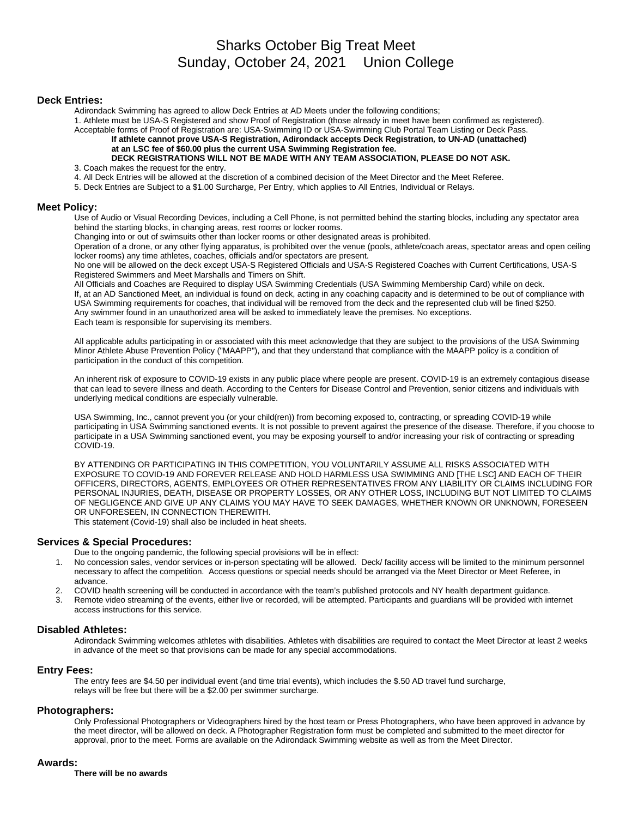# Sharks October Big Treat Meet Sunday, October 24, 2021 Union College

#### **Deck Entries:**

Adirondack Swimming has agreed to allow Deck Entries at AD Meets under the following conditions;

1. Athlete must be USA-S Registered and show Proof of Registration (those already in meet have been confirmed as registered).

Acceptable forms of Proof of Registration are: USA-Swimming ID or USA-Swimming Club Portal Team Listing or Deck Pass.

**If athlete cannot prove USA-S Registration, Adirondack accepts Deck Registration***,* **to UN-AD (unattached) at an LSC fee of \$60.00 plus the current USA Swimming Registration fee.**

## **DECK REGISTRATIONS WILL NOT BE MADE WITH ANY TEAM ASSOCIATION, PLEASE DO NOT ASK.**

3. Coach makes the request for the entry.

4. All Deck Entries will be allowed at the discretion of a combined decision of the Meet Director and the Meet Referee.

5. Deck Entries are Subject to a \$1.00 Surcharge, Per Entry, which applies to All Entries, Individual or Relays.

#### **Meet Policy:**

Use of Audio or Visual Recording Devices, including a Cell Phone, is not permitted behind the starting blocks, including any spectator area behind the starting blocks, in changing areas, rest rooms or locker rooms.

Changing into or out of swimsuits other than locker rooms or other designated areas is prohibited.

Operation of a drone, or any other flying apparatus, is prohibited over the venue (pools, athlete/coach areas, spectator areas and open ceiling locker rooms) any time athletes, coaches, officials and/or spectators are present.

No one will be allowed on the deck except USA-S Registered Officials and USA-S Registered Coaches with Current Certifications, USA-S Registered Swimmers and Meet Marshalls and Timers on Shift.

All Officials and Coaches are Required to display USA Swimming Credentials (USA Swimming Membership Card) while on deck. If, at an AD Sanctioned Meet, an individual is found on deck, acting in any coaching capacity and is determined to be out of compliance with USA Swimming requirements for coaches, that individual will be removed from the deck and the represented club will be fined \$250. Any swimmer found in an unauthorized area will be asked to immediately leave the premises. No exceptions. Each team is responsible for supervising its members.

All applicable adults participating in or associated with this meet acknowledge that they are subject to the provisions of the USA Swimming Minor Athlete Abuse Prevention Policy ("MAAPP"), and that they understand that compliance with the MAAPP policy is a condition of participation in the conduct of this competition.

An inherent risk of exposure to COVID-19 exists in any public place where people are present. COVID-19 is an extremely contagious disease that can lead to severe illness and death. According to the Centers for Disease Control and Prevention, senior citizens and individuals with underlying medical conditions are especially vulnerable.

USA Swimming, Inc., cannot prevent you (or your child(ren)) from becoming exposed to, contracting, or spreading COVID-19 while participating in USA Swimming sanctioned events. It is not possible to prevent against the presence of the disease. Therefore, if you choose to participate in a USA Swimming sanctioned event, you may be exposing yourself to and/or increasing your risk of contracting or spreading COVID-19.

BY ATTENDING OR PARTICIPATING IN THIS COMPETITION, YOU VOLUNTARILY ASSUME ALL RISKS ASSOCIATED WITH EXPOSURE TO COVID-19 AND FOREVER RELEASE AND HOLD HARMLESS USA SWIMMING AND [THE LSC] AND EACH OF THEIR OFFICERS, DIRECTORS, AGENTS, EMPLOYEES OR OTHER REPRESENTATIVES FROM ANY LIABILITY OR CLAIMS INCLUDING FOR PERSONAL INJURIES, DEATH, DISEASE OR PROPERTY LOSSES, OR ANY OTHER LOSS, INCLUDING BUT NOT LIMITED TO CLAIMS OF NEGLIGENCE AND GIVE UP ANY CLAIMS YOU MAY HAVE TO SEEK DAMAGES, WHETHER KNOWN OR UNKNOWN, FORESEEN OR UNFORESEEN, IN CONNECTION THEREWITH.

This statement (Covid-19) shall also be included in heat sheets.

## **Services & Special Procedures:**

Due to the ongoing pandemic, the following special provisions will be in effect:

- 1. No concession sales, vendor services or in-person spectating will be allowed. Deck/ facility access will be limited to the minimum personnel necessary to affect the competition. Access questions or special needs should be arranged via the Meet Director or Meet Referee, in advance.
- 2. COVID health screening will be conducted in accordance with the team's published protocols and NY health department guidance.
- 3. Remote video streaming of the events, either live or recorded, will be attempted. Participants and guardians will be provided with internet access instructions for this service.

### **Disabled Athletes:**

Adirondack Swimming welcomes athletes with disabilities. Athletes with disabilities are required to contact the Meet Director at least 2 weeks in advance of the meet so that provisions can be made for any special accommodations.

#### **Entry Fees:**

The entry fees are \$4.50 per individual event (and time trial events), which includes the \$.50 AD travel fund surcharge, relays will be free but there will be a \$2.00 per swimmer surcharge.

### **Photographers:**

Only Professional Photographers or Videographers hired by the host team or Press Photographers, who have been approved in advance by the meet director, will be allowed on deck. A Photographer Registration form must be completed and submitted to the meet director for approval, prior to the meet. Forms are available on the Adirondack Swimming website as well as from the Meet Director.

#### **Awards:**

**There will be no awards**